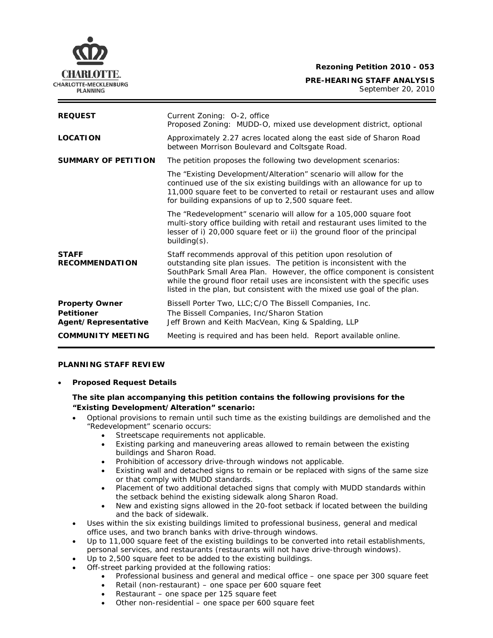**Rezoning Petition 2010 - 053 PRE-HEARING STAFF ANALYSIS** September 20, 2010

| <b>REQUEST</b>                                                     | Current Zoning: 0-2, office<br>Proposed Zoning: MUDD-O, mixed use development district, optional                                                                                                                                                                                                                                                                        |
|--------------------------------------------------------------------|-------------------------------------------------------------------------------------------------------------------------------------------------------------------------------------------------------------------------------------------------------------------------------------------------------------------------------------------------------------------------|
| <b>LOCATION</b>                                                    | Approximately 2.27 acres located along the east side of Sharon Road<br>between Morrison Boulevard and Coltsgate Road.                                                                                                                                                                                                                                                   |
| <b>SUMMARY OF PETITION</b>                                         | The petition proposes the following two development scenarios:                                                                                                                                                                                                                                                                                                          |
|                                                                    | The "Existing Development/Alteration" scenario will allow for the<br>continued use of the six existing buildings with an allowance for up to<br>11,000 square feet to be converted to retail or restaurant uses and allow<br>for building expansions of up to 2,500 square feet.                                                                                        |
|                                                                    | The "Redevelopment" scenario will allow for a 105,000 square foot<br>multi-story office building with retail and restaurant uses limited to the<br>lesser of i) 20,000 square feet or ii) the ground floor of the principal<br>$building(s)$ .                                                                                                                          |
| <b>STAFF</b><br><b>RECOMMENDATION</b>                              | Staff recommends approval of this petition upon resolution of<br>outstanding site plan issues. The petition is inconsistent with the<br>SouthPark Small Area Plan. However, the office component is consistent<br>while the ground floor retail uses are inconsistent with the specific uses<br>listed in the plan, but consistent with the mixed use goal of the plan. |
| <b>Property Owner</b><br><b>Petitioner</b><br>Agent/Representative | Bissell Porter Two, LLC; C/O The Bissell Companies, Inc.<br>The Bissell Companies, Inc/Sharon Station<br>Jeff Brown and Keith MacVean, King & Spalding, LLP                                                                                                                                                                                                             |
| <b>COMMUNITY MEETING</b>                                           | Meeting is required and has been held. Report available online.                                                                                                                                                                                                                                                                                                         |

### **PLANNING STAFF REVIEW**

• **Proposed Request Details**

# **The site plan accompanying this petition contains the following provisions for the "Existing Development/Alteration" scenario:**

- Optional provisions to remain until such time as the existing buildings are demolished and the "Redevelopment" scenario occurs:
	- Streetscape requirements not applicable.
	- Existing parking and maneuvering areas allowed to remain between the existing buildings and Sharon Road.
	- Prohibition of accessory drive-through windows not applicable.
	- Existing wall and detached signs to remain or be replaced with signs of the same size or that comply with MUDD standards.
	- the setback behind the existing sidewalk along Sharon Road. • Placement of two additional detached signs that comply with MUDD standards within
	- New and existing signs allowed in the 20-foot setback if located between the building and the back of sidewalk.
- Uses within the six existing buildings limited to professional business, general and medical office uses, and two branch banks with drive-through windows.
- personal services, and restaurants (restaurants will not have drive-through windows). • Up to 11,000 square feet of the existing buildings to be converted into retail establishments,
- Up to 2,500 square feet to be added to the existing buildings.
- Off-street parking provided at the following ratios:
	- Professional business and general and medical office one space per 300 square feet
	- Retail (non-restaurant) one space per 600 square feet
	- Restaurant one space per 125 square feet
	- Other non-residential one space per 600 square feet

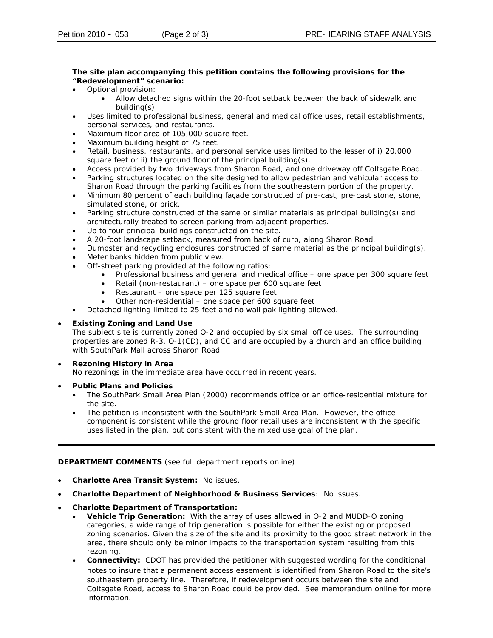### The site plan accompanying this petition contains the following provisions for the **"Redevelopment" scenario:**

- Optional provision:
	- Allow detached signs within the 20-foot setback between the back of sidewalk and building(s).
- Uses limited to professional business, general and medical office uses, retail establishments, personal services, and restaurants.
- Maximum floor area of 105,000 square feet.
- Maximum building height of 75 feet. •
- Retail, business, restaurants, and personal service uses limited to the lesser of i) 20,000 square feet or ii) the ground floor of the principal building(s).
- Access provided by two driveways from Sharon Road, and one driveway off Coltsgate Road.
- Parking structures located on the site designed to allow pedestrian and vehicular access to Sharon Road through the parking facilities from the southeastern portion of the property.
- Minimum 80 percent of each building façade constructed of pre-cast, pre-cast stone, stone, simulated stone, or brick.
- architecturally treated to screen parking from adjacent properties. • Parking structure constructed of the same or similar materials as principal building(s) and
- Up to four principal buildings constructed on the site.
- A 20-foot landscape setback, measured from back of curb, along Sharon Road.
- Dumpster and recycling enclosures constructed of same material as the principal building(s).
- Meter banks hidden from public view.
- Off-street parking provided at the following ratios:
	- Professional business and general and medical office one space per 300 square feet
	- Retail (non-restaurant) one space per 600 square feet
	- Restaurant one space per 125 square feet
	- Other non-residential one space per 600 square feet
- Detached lighting limited to 25 feet and no wall pak lighting allowed.

## • **Existing Zoning and Land Use**

The subject site is currently zoned O-2 and occupied by six small office uses. The surrounding properties are zoned R-3, O-1(CD), and CC and are occupied by a church and an office building with SouthPark Mall across Sharon Road.

# • **Rezoning History in Area**

No rezonings in the immediate area have occurred in recent years.

- **Public Plans and Policies**
	- The *SouthPark Small Area Plan* (2000) recommends office or an office-residential mixture for the site.
	- The petition is inconsistent with the *SouthPark Small Area Plan*. However, the office component is consistent while the ground floor retail uses are inconsistent with the specific uses listed in the plan, but consistent with the mixed use goal of the plan.

### **DEPARTMENT COMMENTS** (see full department reports online)

- **Charlotte Area Transit System:** No issues.
- **Charlotte Department of Neighborhood & Business Services**: No issues.
- **Charlotte Department of Transportation:** 
	- categories, a wide range of trip generation is possible for either the existing or proposed zoning scenarios. Given the size of the site and its proximity to the good street network in the area, there should only be minor impacts to the transportation system resulting from this • **Vehicle Trip Generation:** With the array of uses allowed in O-2 and MUDD-O zoning rezoning.
	- **Connectivity:** CDOT has provided the petitioner with suggested wording for the conditional southeastern property line. Therefore, if redevelopment occurs between the site and Coltsgate Road, access to Sharon Road could be provided. See memorandum online for more notes to insure that a permanent access easement is identified from Sharon Road to the site's information.